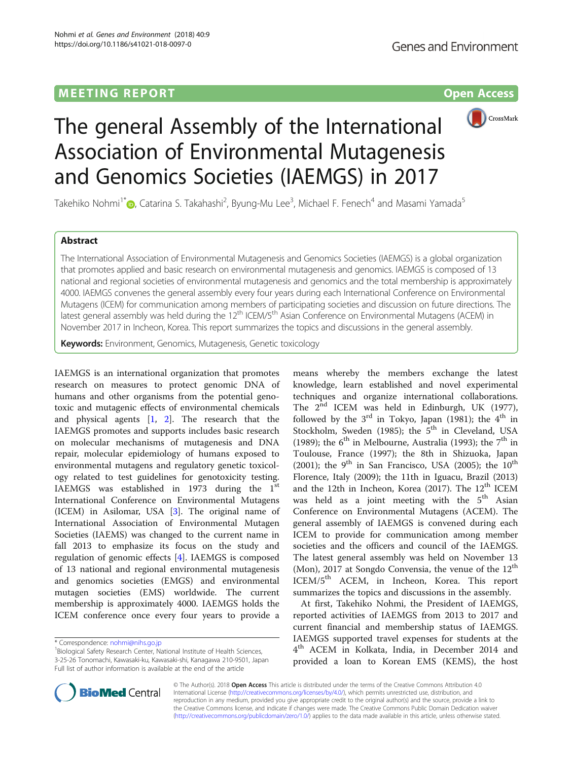## M E E TING R E POR T Op[en](http://crossmark.crossref.org/dialog/?doi=10.1186/s41021-018-0097-0&domain=pdf) [Access](http://crossmark.crossref.org/dialog/?doi=10.1186/s41021-018-0097-0&domain=pdf)



# The general Assembly of the International Association of Environmental Mutagenesis and Genomics Societies (IAEMGS) in 2017

Takehiko Nohmi<sup>1[\\*](http://orcid.org/0000-0002-4729-6334)</sup>�, Catarina S. Takahashi<sup>2</sup>, Byung-Mu Lee<sup>3</sup>, Michael F. Fenech<sup>4</sup> and Masami Yamada<sup>5</sup>

### **Abstract**

The International Association of Environmental Mutagenesis and Genomics Societies (IAEMGS) is a global organization that promotes applied and basic research on environmental mutagenesis and genomics. IAEMGS is composed of 13 national and regional societies of environmental mutagenesis and genomics and the total membership is approximately 4000. IAEMGS convenes the general assembly every four years during each International Conference on Environmental Mutagens (ICEM) for communication among members of participating societies and discussion on future directions. The latest general assembly was held during the 12<sup>th</sup> ICEM/5<sup>th</sup> Asian Conference on Environmental Mutagens (ACEM) in November 2017 in Incheon, Korea. This report summarizes the topics and discussions in the general assembly.

Keywords: Environment, Genomics, Mutagenesis, Genetic toxicology

IAEMGS is an international organization that promotes research on measures to protect genomic DNA of humans and other organisms from the potential genotoxic and mutagenic effects of environmental chemicals and physical agents [\[1](#page-3-0), [2\]](#page-3-0). The research that the IAEMGS promotes and supports includes basic research on molecular mechanisms of mutagenesis and DNA repair, molecular epidemiology of humans exposed to environmental mutagens and regulatory genetic toxicology related to test guidelines for genotoxicity testing. IAEMGS was established in 1973 during the  $1<sup>st</sup>$ International Conference on Environmental Mutagens (ICEM) in Asilomar, USA [[3\]](#page-3-0). The original name of International Association of Environmental Mutagen Societies (IAEMS) was changed to the current name in fall 2013 to emphasize its focus on the study and regulation of genomic effects [\[4](#page-3-0)]. IAEMGS is composed of 13 national and regional environmental mutagenesis and genomics societies (EMGS) and environmental mutagen societies (EMS) worldwide. The current membership is approximately 4000. IAEMGS holds the ICEM conference once every four years to provide a

means whereby the members exchange the latest knowledge, learn established and novel experimental techniques and organize international collaborations. The  $2^{nd}$  ICEM was held in Edinburgh, UK (1977), followed by the  $3<sup>rd</sup>$  in Tokyo, Japan (1981); the  $4<sup>th</sup>$  in Stockholm, Sweden (1985); the  $5<sup>th</sup>$  in Cleveland, USA (1989); the  $6<sup>th</sup>$  in Melbourne, Australia (1993); the  $7<sup>th</sup>$  in Toulouse, France (1997); the 8th in Shizuoka, Japan (2001); the 9<sup>th</sup> in San Francisco, USA (2005); the 10<sup>th</sup> Florence, Italy (2009); the 11th in Iguacu, Brazil (2013) and the 12th in Incheon, Korea (2017). The  $12<sup>th</sup>$  ICEM was held as a joint meeting with the  $5<sup>th</sup>$  Asian Conference on Environmental Mutagens (ACEM). The general assembly of IAEMGS is convened during each ICEM to provide for communication among member societies and the officers and council of the IAEMGS. The latest general assembly was held on November 13 (Mon), 2017 at Songdo Convensia, the venue of the  $12<sup>th</sup>$ ICEM/5<sup>th</sup> ACEM, in Incheon, Korea. This report summarizes the topics and discussions in the assembly.

At first, Takehiko Nohmi, the President of IAEMGS, reported activities of IAEMGS from 2013 to 2017 and current financial and membership status of IAEMGS. IAEMGS supported travel expenses for students at the 4<sup>th</sup> ACEM in Kolkata, India, in December 2014 and provided a loan to Korean EMS (KEMS), the host



© The Author(s). 2018 Open Access This article is distributed under the terms of the Creative Commons Attribution 4.0 International License [\(http://creativecommons.org/licenses/by/4.0/](http://creativecommons.org/licenses/by/4.0/)), which permits unrestricted use, distribution, and reproduction in any medium, provided you give appropriate credit to the original author(s) and the source, provide a link to the Creative Commons license, and indicate if changes were made. The Creative Commons Public Domain Dedication waiver [\(http://creativecommons.org/publicdomain/zero/1.0/](http://creativecommons.org/publicdomain/zero/1.0/)) applies to the data made available in this article, unless otherwise stated.

<sup>\*</sup> Correspondence: [nohmi@nihs.go.jp](mailto:nohmi@nihs.go.jp) <sup>1</sup>

<sup>&</sup>lt;sup>1</sup> Biological Safety Research Center, National Institute of Health Sciences, 3-25-26 Tonomachi, Kawasaki-ku, Kawasaki-shi, Kanagawa 210-9501, Japan Full list of author information is available at the end of the article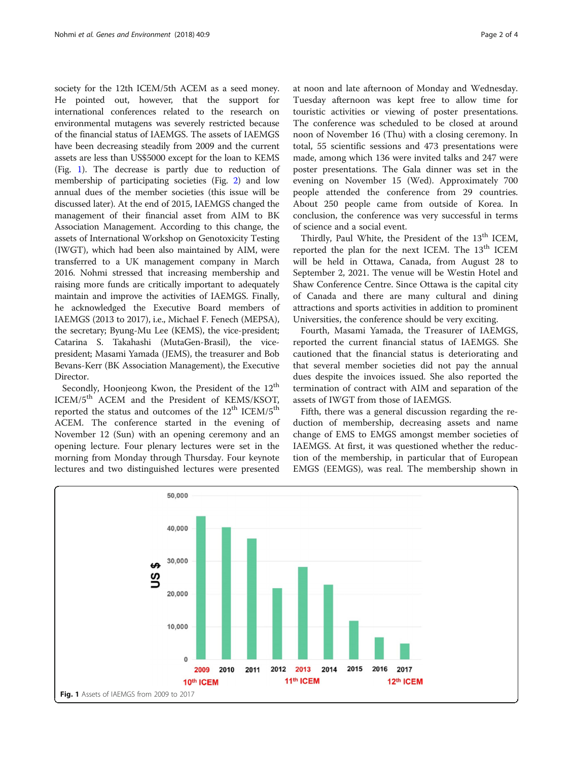society for the 12th ICEM/5th ACEM as a seed money. He pointed out, however, that the support for international conferences related to the research on environmental mutagens was severely restricted because of the financial status of IAEMGS. The assets of IAEMGS have been decreasing steadily from 2009 and the current assets are less than US\$5000 except for the loan to KEMS (Fig. 1). The decrease is partly due to reduction of membership of participating societies (Fig. [2](#page-2-0)) and low annual dues of the member societies (this issue will be discussed later). At the end of 2015, IAEMGS changed the management of their financial asset from AIM to BK Association Management. According to this change, the assets of International Workshop on Genotoxicity Testing (IWGT), which had been also maintained by AIM, were transferred to a UK management company in March 2016. Nohmi stressed that increasing membership and raising more funds are critically important to adequately maintain and improve the activities of IAEMGS. Finally, he acknowledged the Executive Board members of IAEMGS (2013 to 2017), i.e., Michael F. Fenech (MEPSA), the secretary; Byung-Mu Lee (KEMS), the vice-president; Catarina S. Takahashi (MutaGen-Brasil), the vicepresident; Masami Yamada (JEMS), the treasurer and Bob Bevans-Kerr (BK Association Management), the Executive Director.

Secondly, Hoonjeong Kwon, the President of the 12<sup>th</sup> ICEM/5<sup>th</sup> ACEM and the President of KEMS/KSOT, reported the status and outcomes of the 12<sup>th</sup> ICEM/5<sup>th</sup> ACEM. The conference started in the evening of November 12 (Sun) with an opening ceremony and an opening lecture. Four plenary lectures were set in the morning from Monday through Thursday. Four keynote lectures and two distinguished lectures were presented at noon and late afternoon of Monday and Wednesday. Tuesday afternoon was kept free to allow time for touristic activities or viewing of poster presentations. The conference was scheduled to be closed at around noon of November 16 (Thu) with a closing ceremony. In total, 55 scientific sessions and 473 presentations were made, among which 136 were invited talks and 247 were poster presentations. The Gala dinner was set in the evening on November 15 (Wed). Approximately 700 people attended the conference from 29 countries. About 250 people came from outside of Korea. In conclusion, the conference was very successful in terms of science and a social event.

Thirdly, Paul White, the President of the 13<sup>th</sup> ICEM, reported the plan for the next ICEM. The 13<sup>th</sup> ICEM will be held in Ottawa, Canada, from August 28 to September 2, 2021. The venue will be Westin Hotel and Shaw Conference Centre. Since Ottawa is the capital city of Canada and there are many cultural and dining attractions and sports activities in addition to prominent Universities, the conference should be very exciting.

Fourth, Masami Yamada, the Treasurer of IAEMGS, reported the current financial status of IAEMGS. She cautioned that the financial status is deteriorating and that several member societies did not pay the annual dues despite the invoices issued. She also reported the termination of contract with AIM and separation of the assets of IWGT from those of IAEMGS.

Fifth, there was a general discussion regarding the reduction of membership, decreasing assets and name change of EMS to EMGS amongst member societies of IAEMGS. At first, it was questioned whether the reduction of the membership, in particular that of European EMGS (EEMGS), was real. The membership shown in

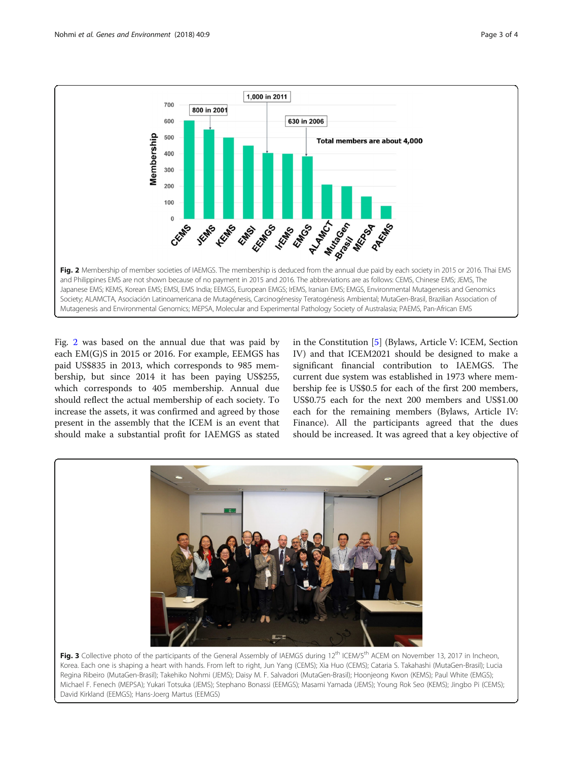<span id="page-2-0"></span>

Fig. 2 was based on the annual due that was paid by each EM(G)S in 2015 or 2016. For example, EEMGS has paid US\$835 in 2013, which corresponds to 985 membership, but since 2014 it has been paying US\$255, which corresponds to 405 membership. Annual due should reflect the actual membership of each society. To increase the assets, it was confirmed and agreed by those present in the assembly that the ICEM is an event that should make a substantial profit for IAEMGS as stated in the Constitution [\[5](#page-3-0)] (Bylaws, Article V: ICEM, Section IV) and that ICEM2021 should be designed to make a significant financial contribution to IAEMGS. The current due system was established in 1973 where membership fee is US\$0.5 for each of the first 200 members, US\$0.75 each for the next 200 members and US\$1.00 each for the remaining members (Bylaws, Article IV: Finance). All the participants agreed that the dues should be increased. It was agreed that a key objective of



Fig. 3 Collective photo of the participants of the General Assembly of IAEMGS during 12<sup>th</sup> ICEM/5<sup>th</sup> ACEM on November 13, 2017 in Incheon, Korea. Each one is shaping a heart with hands. From left to right, Jun Yang (CEMS); Xia Huo (CEMS); Cataria S. Takahashi (MutaGen-Brasil); Lucia Regina Ribeiro (MutaGen-Brasil); Takehiko Nohmi (JEMS); Daisy M. F. Salvadori (MutaGen-Brasil); Hoonjeong Kwon (KEMS); Paul White (EMGS); Michael F. Fenech (MEPSA); Yukari Totsuka (JEMS); Stephano Bonassi (EEMGS); Masami Yamada (JEMS); Young Rok Seo (KEMS); Jingbo Pi (CEMS); David Kirkland (EEMGS); Hans-Joerg Martus (EEMGS)